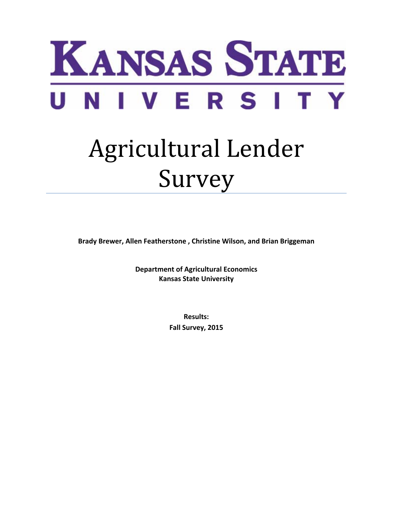

# Agricultural Lender Survey

**Brady Brewer, Allen Featherstone , Christine Wilson, and Brian Briggeman**

**Department of Agricultural Economics Kansas State University**

> **Results: Fall Survey, 2015**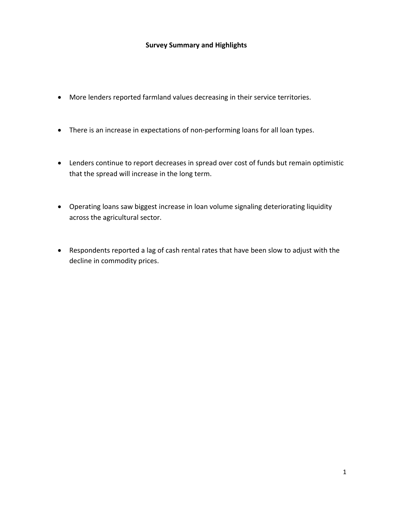## **Survey Summary and Highlights**

- More lenders reported farmland values decreasing in their service territories.
- There is an increase in expectations of non‐performing loans for all loan types.
- Lenders continue to report decreases in spread over cost of funds but remain optimistic that the spread will increase in the long term.
- Operating loans saw biggest increase in loan volume signaling deteriorating liquidity across the agricultural sector.
- Respondents reported a lag of cash rental rates that have been slow to adjust with the decline in commodity prices.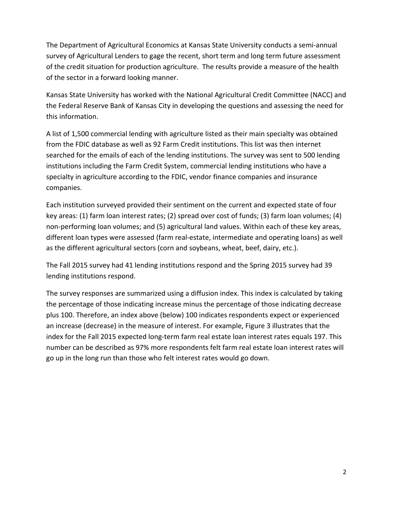The Department of Agricultural Economics at Kansas State University conducts a semi‐annual survey of Agricultural Lenders to gage the recent, short term and long term future assessment of the credit situation for production agriculture. The results provide a measure of the health of the sector in a forward looking manner.

Kansas State University has worked with the National Agricultural Credit Committee (NACC) and the Federal Reserve Bank of Kansas City in developing the questions and assessing the need for this information.

A list of 1,500 commercial lending with agriculture listed as their main specialty was obtained from the FDIC database as well as 92 Farm Credit institutions. This list was then internet searched for the emails of each of the lending institutions. The survey was sent to 500 lending institutions including the Farm Credit System, commercial lending institutions who have a specialty in agriculture according to the FDIC, vendor finance companies and insurance companies.

Each institution surveyed provided their sentiment on the current and expected state of four key areas: (1) farm loan interest rates; (2) spread over cost of funds; (3) farm loan volumes; (4) non‐performing loan volumes; and (5) agricultural land values. Within each of these key areas, different loan types were assessed (farm real‐estate, intermediate and operating loans) as well as the different agricultural sectors (corn and soybeans, wheat, beef, dairy, etc.).

The Fall 2015 survey had 41 lending institutions respond and the Spring 2015 survey had 39 lending institutions respond.

The survey responses are summarized using a diffusion index. This index is calculated by taking the percentage of those indicating increase minus the percentage of those indicating decrease plus 100. Therefore, an index above (below) 100 indicates respondents expect or experienced an increase (decrease) in the measure of interest. For example, Figure 3 illustrates that the index for the Fall 2015 expected long‐term farm real estate loan interest rates equals 197. This number can be described as 97% more respondents felt farm real estate loan interest rates will go up in the long run than those who felt interest rates would go down.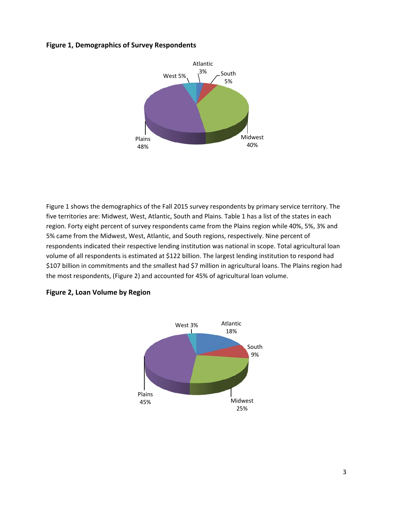## **Figure 1, Demographics of Survey Respondents**



Figure 1 shows the demographics of the Fall 2015 survey respondents by primary service territory. The five territories are: Midwest, West, Atlantic, South and Plains. Table 1 has a list of the states in each region. Forty eight percent of survey respondents came from the Plains region while 40%, 5%, 3% and 5% came from the Midwest, West, Atlantic, and South regions, respectively. Nine percent of respondents indicated their respective lending institution was national in scope. Total agricultural loan volume of all respondents is estimated at \$122 billion. The largest lending institution to respond had \$107 billion in commitments and the smallest had \$7 million in agricultural loans. The Plains region had the most respondents, (Figure 2) and accounted for 45% of agricultural loan volume.



## **Figure 2, Loan Volume by Region**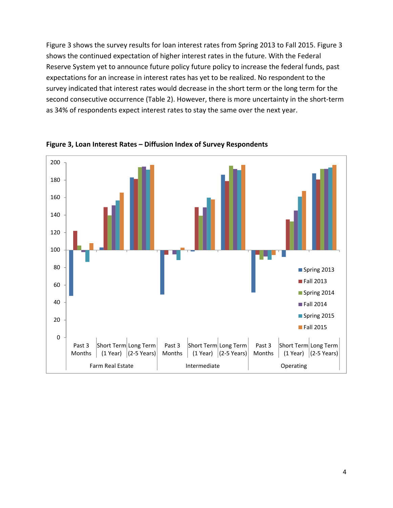Figure 3 shows the survey results for loan interest rates from Spring 2013 to Fall 2015. Figure 3 shows the continued expectation of higher interest rates in the future. With the Federal Reserve System yet to announce future policy future policy to increase the federal funds, past expectations for an increase in interest rates has yet to be realized. No respondent to the survey indicated that interest rates would decrease in the short term or the long term for the second consecutive occurrence (Table 2). However, there is more uncertainty in the short-term as 34% of respondents expect interest rates to stay the same over the next year.



**Figure 3, Loan Interest Rates – Diffusion Index of Survey Respondents**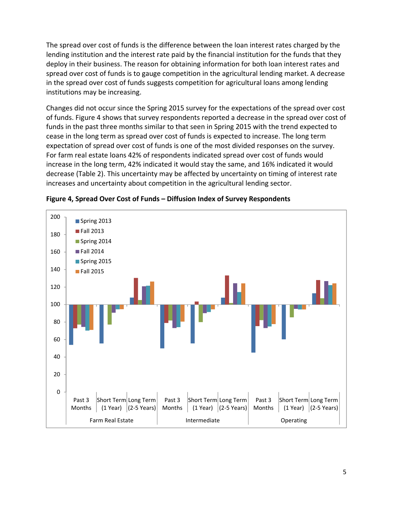The spread over cost of funds is the difference between the loan interest rates charged by the lending institution and the interest rate paid by the financial institution for the funds that they deploy in their business. The reason for obtaining information for both loan interest rates and spread over cost of funds is to gauge competition in the agricultural lending market. A decrease in the spread over cost of funds suggests competition for agricultural loans among lending institutions may be increasing.

Changes did not occur since the Spring 2015 survey for the expectations of the spread over cost of funds. Figure 4 shows that survey respondents reported a decrease in the spread over cost of funds in the past three months similar to that seen in Spring 2015 with the trend expected to cease in the long term as spread over cost of funds is expected to increase. The long term expectation of spread over cost of funds is one of the most divided responses on the survey. For farm real estate loans 42% of respondents indicated spread over cost of funds would increase in the long term, 42% indicated it would stay the same, and 16% indicated it would decrease (Table 2). This uncertainty may be affected by uncertainty on timing of interest rate increases and uncertainty about competition in the agricultural lending sector.



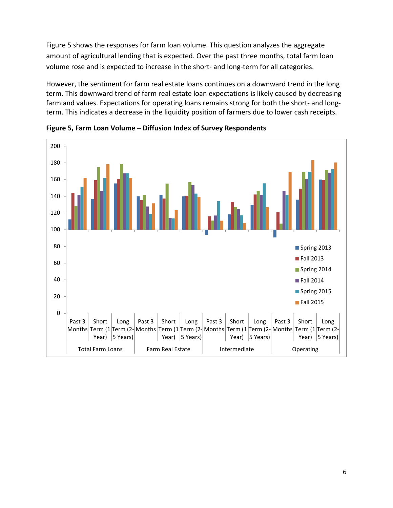Figure 5 shows the responses for farm loan volume. This question analyzes the aggregate amount of agricultural lending that is expected. Over the past three months, total farm loan volume rose and is expected to increase in the short‐ and long‐term for all categories.

However, the sentiment for farm real estate loans continues on a downward trend in the long term. This downward trend of farm real estate loan expectations is likely caused by decreasing farmland values. Expectations for operating loans remains strong for both the short- and longterm. This indicates a decrease in the liquidity position of farmers due to lower cash receipts.



**Figure 5, Farm Loan Volume – Diffusion Index of Survey Respondents**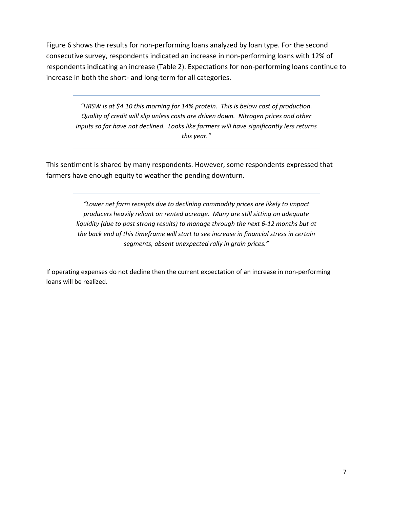Figure 6 shows the results for non‐performing loans analyzed by loan type. For the second consecutive survey, respondents indicated an increase in non‐performing loans with 12% of respondents indicating an increase (Table 2). Expectations for non‐performing loans continue to increase in both the short‐ and long‐term for all categories.

*"HRSW is at \$4.10 this morning for 14% protein. This is below cost of production. Quality of credit will slip unless costs are driven down. Nitrogen prices and other inputs so far have not declined. Looks like farmers will have significantly less returns this year."*

This sentiment is shared by many respondents. However, some respondents expressed that farmers have enough equity to weather the pending downturn.

> *"Lower net farm receipts due to declining commodity prices are likely to impact producers heavily reliant on rented acreage. Many are still sitting on adequate liquidity (due to past strong results) to manage through the next 6‐12 months but at the back end of this timeframe will start to see increase in financial stress in certain segments, absent unexpected rally in grain prices."*

If operating expenses do not decline then the current expectation of an increase in non-performing loans will be realized.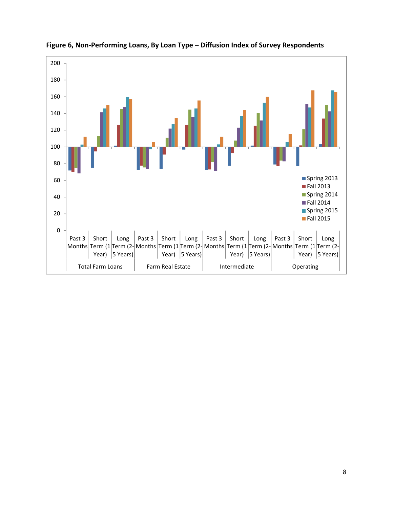

**Figure 6, Non‐Performing Loans, By Loan Type – Diffusion Index of Survey Respondents**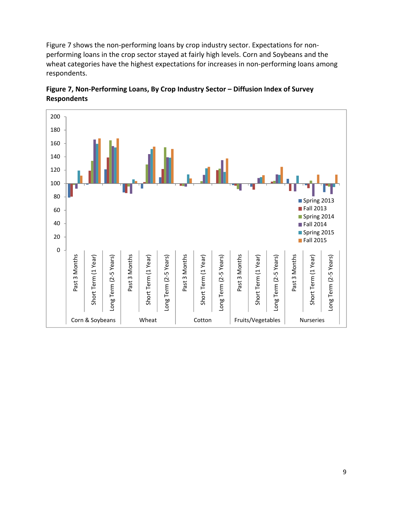Figure 7 shows the non‐performing loans by crop industry sector. Expectations for non‐ performing loans in the crop sector stayed at fairly high levels. Corn and Soybeans and the wheat categories have the highest expectations for increases in non-performing loans among respondents.



**Figure 7, Non‐Performing Loans, By Crop Industry Sector – Diffusion Index of Survey Respondents**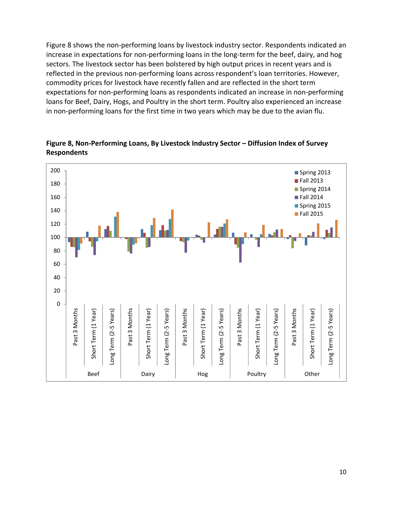Figure 8 shows the non-performing loans by livestock industry sector. Respondents indicated an increase in expectations for non-performing loans in the long-term for the beef, dairy, and hog sectors. The livestock sector has been bolstered by high output prices in recent years and is reflected in the previous non-performing loans across respondent's loan territories. However, commodity prices for livestock have recently fallen and are reflected in the short term expectations for non‐performing loans as respondents indicated an increase in non‐performing loans for Beef, Dairy, Hogs, and Poultry in the short term. Poultry also experienced an increase in non-performing loans for the first time in two years which may be due to the avian flu.



**Figure 8, Non‐Performing Loans, By Livestock Industry Sector – Diffusion Index of Survey Respondents**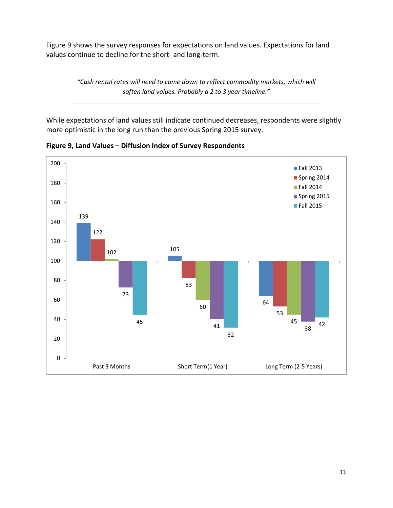Figure 9 shows the survey responses for expectations on land values. Expectations for land values continue to decline for the short‐ and long‐term.

> *"Cash rental rates will need to come down to reflect commodity markets, which will soften land values. Probably a 2 to 3 year timeline."*

While expectations of land values still indicate continued decreases, respondents were slightly more optimistic in the long run than the previous Spring 2015 survey.



**Figure 9, Land Values – Diffusion Index of Survey Respondents**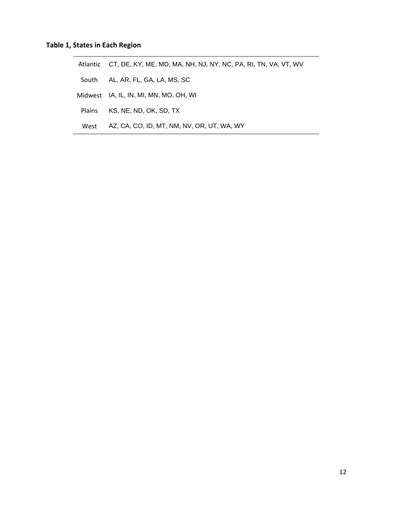|        | Atlantic CT, DE, KY, ME, MD, MA, NH, NJ, NY, NC, PA, RI, TN, VA, VT, WV |
|--------|-------------------------------------------------------------------------|
|        | South AL, AR, FL, GA, LA, MS, SC                                        |
|        | Midwest IA, IL, IN, MI, MN, MO, OH, WI                                  |
| Plains | KS, NE, ND, OK, SD, TX                                                  |
| West   | AZ, CA, CO, ID, MT, NM, NV, OR, UT, WA, WY                              |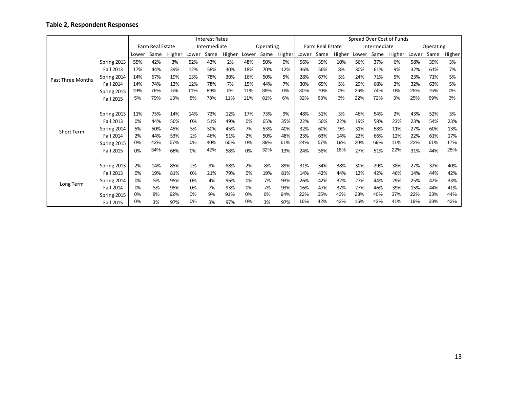#### **Table 2, Respondent Responses**

|                          |             | <b>Interest Rates</b>   |      |        |              |      |        |           |      |        |                  | Spread Over Cost of Funds |        |              |      |        |           |      |        |  |
|--------------------------|-------------|-------------------------|------|--------|--------------|------|--------|-----------|------|--------|------------------|---------------------------|--------|--------------|------|--------|-----------|------|--------|--|
|                          |             | <b>Farm Real Estate</b> |      |        | Intermediate |      |        | Operating |      |        | Farm Real Estate |                           |        | Intermediate |      |        | Operating |      |        |  |
|                          |             | Lower                   | Same | Higher | Lower        | Same | Higher | Lower     | Same | Higher | Lower            | Same                      | Higher | Lower        | Same | Higher | Lower     | Same | Higher |  |
|                          | Spring 2013 | 55%                     | 42%  | 3%     | 52%          | 43%  | 2%     | 48%       | 50%  | 0%     | 56%              | 35%                       | 10%    | 56%          | 37%  | 6%     | 58%       | 39%  | 3%     |  |
|                          | Fall 2013   | 17%                     | 44%  | 39%    | 12%          | 58%  | 30%    | 18%       | 70%  | 12%    | 36%              | 56%                       | 8%     | 30%          | 61%  | 9%     | 32%       | 61%  | 7%     |  |
| <b>Past Three Months</b> | Spring 2014 | 14%                     | 67%  | 19%    | 13%          | 78%  | 30%    | 16%       | 50%  | 5%     | 28%              | 67%                       | 5%     | 24%          | 71%  | 5%     | 23%       | 71%  | 5%     |  |
|                          | Fall 2014   | 14%                     | 74%  | 12%    | 12%          | 78%  | 7%     | 15%       | 44%  | 7%     | 30%              | 65%                       | 5%     | 29%          | 68%  | 2%     | 32%       | 63%  | 5%     |  |
|                          | Spring 2015 | 19%                     | 76%  | 5%     | 11%          | 89%  | 0%     | 11%       | 89%  | 0%     | 30%              | 70%                       | $0\%$  | 26%          | 74%  | 0%     | 25%       | 75%  | 0%     |  |
|                          | Fall 2015   | 5%                      | 79%  | 13%    | 8%           | 78%  | 11%    | 11%       | 81%  | 6%     | 32%              | 63%                       | 3%     | 22%          | 72%  | 3%     | 25%       | 69%  | 3%     |  |
|                          |             |                         |      |        |              |      |        |           |      |        |                  |                           |        |              |      |        |           |      |        |  |
|                          | Spring 2013 | 11%                     | 75%  | 14%    | 14%          | 72%  | 12%    | 17%       | 73%  | 9%     | 48%              | 51%                       | 3%     | 46%          | 54%  | 2%     | 43%       | 52%  | 3%     |  |
|                          | Fall 2013   | 0%                      | 44%  | 56%    | 0%           | 51%  | 49%    | 0%        | 65%  | 35%    | 22%              | 56%                       | 22%    | 19%          | 58%  | 23%    | 23%       | 54%  | 23%    |  |
| <b>Short Term</b>        | Spring 2014 | 5%                      | 50%  | 45%    | 5%           | 50%  | 45%    | 7%        | 53%  | 40%    | 32%              | 60%                       | 9%     | 31%          | 58%  | 11%    | 27%       | 60%  | 13%    |  |
|                          | Fall 2014   | 2%                      | 44%  | 53%    | 2%           | 46%  | 51%    | 2%        | 50%  | 48%    | 23%              | 63%                       | 14%    | 22%          | 66%  | 12%    | 22%       | 61%  | 17%    |  |
|                          | Spring 2015 | 0%                      | 43%  | 57%    | $0\%$        | 40%  | 60%    | 0%        | 39%  | 61%    | 24%              | 57%                       | 19%    | 20%          | 69%  | 11%    | 22%       | 61%  | 17%    |  |
|                          | Fall 2015   | 0%                      | 34%  | 66%    | 0%           | 42%  | 58%    | 0%        | 32%  | 13%    | 24%              | 58%                       | 18%    | 27%          | 51%  | 22%    | 31%       | 44%  | 25%    |  |
|                          |             |                         |      |        |              |      |        |           |      |        |                  |                           |        |              |      |        |           |      |        |  |
| Long Term                | Spring 2013 | 2%                      | 14%  | 85%    | 2%           | 9%   | 88%    | 2%        | 8%   | 89%    | 31%              | 34%                       | 38%    | 30%          | 29%  | 38%    | 27%       | 32%  | 40%    |  |
|                          | Fall 2013   | 0%                      | 19%  | 81%    | 0%           | 21%  | 79%    | 0%        | 19%  | 81%    | 14%              | 42%                       | 44%    | 12%          | 42%  | 46%    | 14%       | 44%  | 42%    |  |
|                          | Spring 2014 | 0%                      | 5%   | 95%    | 0%           | 4%   | 96%    | 0%        | 7%   | 93%    | 26%              | 42%                       | 32%    | 27%          | 44%  | 29%    | 25%       | 42%  | 33%    |  |
|                          | Fall 2014   | 0%                      | 5%   | 95%    | 0%           | 7%   | 93%    | 0%        | 7%   | 93%    | 16%              | 47%                       | 37%    | 27%          | 46%  | 39%    | 15%       | 44%  | 41%    |  |
|                          | Spring 2015 | 0%                      | 8%   | 92%    | $0\%$        | 9%   | 91%    | 0%        | 6%   | 94%    | 22%              | 35%                       | 43%    | 23%          | 40%  | 37%    | 22%       | 33%  | 44%    |  |
|                          | Fall 2015   | 0%                      | 3%   | 97%    | 0%           | 3%   | 97%    | 0%        | 3%   | 97%    | 16%              | 42%                       | 42%    | 16%          | 43%  | 41%    | 19%       | 38%  | 43%    |  |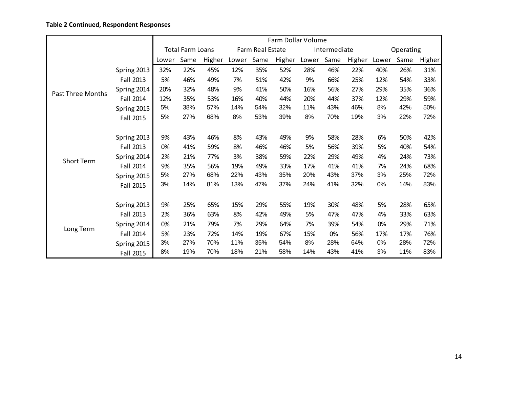### **Table 2 Continued, Respondent Responses**

|                          |             |       |      |                         |       |      | Farm Dollar Volume |       |              |        |           |      |        |  |
|--------------------------|-------------|-------|------|-------------------------|-------|------|--------------------|-------|--------------|--------|-----------|------|--------|--|
|                          |             |       |      | <b>Total Farm Loans</b> |       |      | Farm Real Estate   |       | Intermediate |        | Operating |      |        |  |
|                          |             | Lower | Same | Higher                  | Lower | Same | Higher             | Lower | Same         | Higher | Lower     | Same | Higher |  |
|                          | Spring 2013 | 32%   | 22%  | 45%                     | 12%   | 35%  | 52%                | 28%   | 46%          | 22%    | 40%       | 26%  | 31%    |  |
|                          | Fall 2013   | 5%    | 46%  | 49%                     | 7%    | 51%  | 42%                | 9%    | 66%          | 25%    | 12%       | 54%  | 33%    |  |
| <b>Past Three Months</b> | Spring 2014 | 20%   | 32%  | 48%                     | 9%    | 41%  | 50%                | 16%   | 56%          | 27%    | 29%       | 35%  | 36%    |  |
|                          | Fall 2014   | 12%   | 35%  | 53%                     | 16%   | 40%  | 44%                | 20%   | 44%          | 37%    | 12%       | 29%  | 59%    |  |
|                          | Spring 2015 | 5%    | 38%  | 57%                     | 14%   | 54%  | 32%                | 11%   | 43%          | 46%    | 8%        | 42%  | 50%    |  |
|                          | Fall 2015   | 5%    | 27%  | 68%                     | 8%    | 53%  | 39%                | 8%    | 70%          | 19%    | 3%        | 22%  | 72%    |  |
|                          |             |       |      |                         |       |      |                    |       |              |        |           |      |        |  |
|                          | Spring 2013 | 9%    | 43%  | 46%                     | 8%    | 43%  | 49%                | 9%    | 58%          | 28%    | 6%        | 50%  | 42%    |  |
|                          | Fall 2013   | 0%    | 41%  | 59%                     | 8%    | 46%  | 46%                | 5%    | 56%          | 39%    | 5%        | 40%  | 54%    |  |
| <b>Short Term</b>        | Spring 2014 | 2%    | 21%  | 77%                     | 3%    | 38%  | 59%                | 22%   | 29%          | 49%    | 4%        | 24%  | 73%    |  |
|                          | Fall 2014   | 9%    | 35%  | 56%                     | 19%   | 49%  | 33%                | 17%   | 41%          | 41%    | 7%        | 24%  | 68%    |  |
|                          | Spring 2015 | 5%    | 27%  | 68%                     | 22%   | 43%  | 35%                | 20%   | 43%          | 37%    | 3%        | 25%  | 72%    |  |
|                          | Fall 2015   | 3%    | 14%  | 81%                     | 13%   | 47%  | 37%                | 24%   | 41%          | 32%    | 0%        | 14%  | 83%    |  |
|                          |             |       |      |                         |       |      |                    |       |              |        |           |      |        |  |
|                          | Spring 2013 | 9%    | 25%  | 65%                     | 15%   | 29%  | 55%                | 19%   | 30%          | 48%    | 5%        | 28%  | 65%    |  |
|                          | Fall 2013   | 2%    | 36%  | 63%                     | 8%    | 42%  | 49%                | 5%    | 47%          | 47%    | 4%        | 33%  | 63%    |  |
| Long Term                | Spring 2014 | 0%    | 21%  | 79%                     | 7%    | 29%  | 64%                | 7%    | 39%          | 54%    | 0%        | 29%  | 71%    |  |
|                          | Fall 2014   | 5%    | 23%  | 72%                     | 14%   | 19%  | 67%                | 15%   | 0%           | 56%    | 17%       | 17%  | 76%    |  |
|                          | Spring 2015 | 3%    | 27%  | 70%                     | 11%   | 35%  | 54%                | 8%    | 28%          | 64%    | 0%        | 28%  | 72%    |  |
|                          | Fall 2015   | 8%    | 19%  | 70%                     | 18%   | 21%  | 58%                | 14%   | 43%          | 41%    | 3%        | 11%  | 83%    |  |